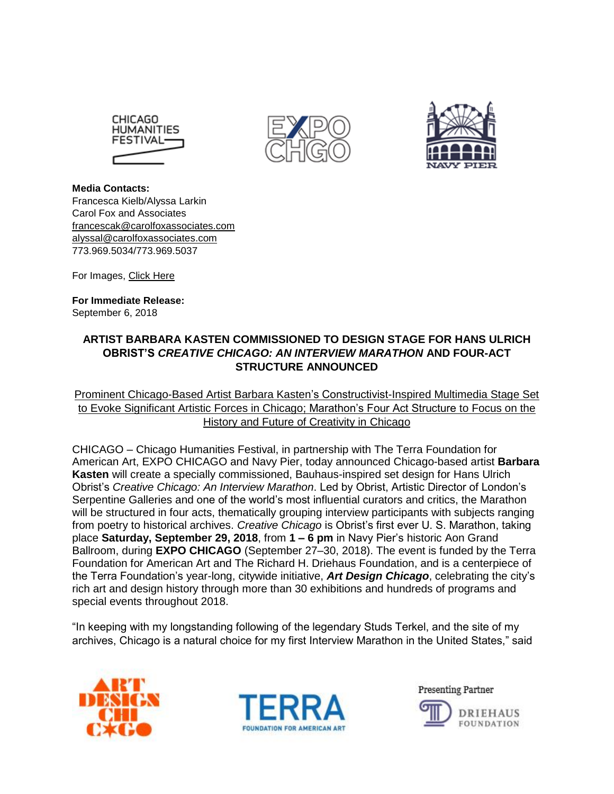





**Media Contacts:**  Francesca Kielb/Alyssa Larkin Carol Fox and Associates [francescak@carolfoxassociates.com](mailto:francescak@carolfoxassociates.com) [alyssal@carolfoxassociates.com](mailto:alyssal@carolfoxassociates.com) 773.969.5034/773.969.5037

For Images, [Click Here](https://carolfox.box.com/s/gl9wuqb9mlhy5xzis6ilo1c30zi7k1is)

**For Immediate Release:** September 6, 2018

# **ARTIST BARBARA KASTEN COMMISSIONED TO DESIGN STAGE FOR HANS ULRICH OBRIST'S** *CREATIVE CHICAGO: AN INTERVIEW MARATHON* **AND FOUR-ACT STRUCTURE ANNOUNCED**

Prominent Chicago-Based Artist Barbara Kasten's Constructivist-Inspired Multimedia Stage Set to Evoke Significant Artistic Forces in Chicago; Marathon's Four Act Structure to Focus on the History and Future of Creativity in Chicago

CHICAGO – Chicago Humanities Festival, in partnership with The Terra Foundation for American Art, EXPO CHICAGO and Navy Pier, today announced Chicago-based artist **Barbara Kasten** will create a specially commissioned, Bauhaus-inspired set design for Hans Ulrich Obrist's *Creative Chicago: An Interview Marathon*. Led by Obrist, Artistic Director of London's Serpentine Galleries and one of the world's most influential curators and critics, the Marathon will be structured in four acts, thematically grouping interview participants with subjects ranging from poetry to historical archives. *Creative Chicago* is Obrist's first ever U. S. Marathon, taking place **Saturday, September 29, 2018**, from **1 – 6 pm** in Navy Pier's historic Aon Grand Ballroom, during **EXPO CHICAGO** (September 27–30, 2018). The event is funded by the Terra Foundation for American Art and The Richard H. Driehaus Foundation, and is a centerpiece of the Terra Foundation's year-long, citywide initiative, *[Art Design Chicago](https://www.artdesignchicago.org/)*, celebrating the city's rich art and design history through more than 30 exhibitions and hundreds of programs and special events throughout 2018.

"In keeping with my longstanding following of the legendary Studs Terkel, and the site of my archives, Chicago is a natural choice for my first Interview Marathon in the United States," said





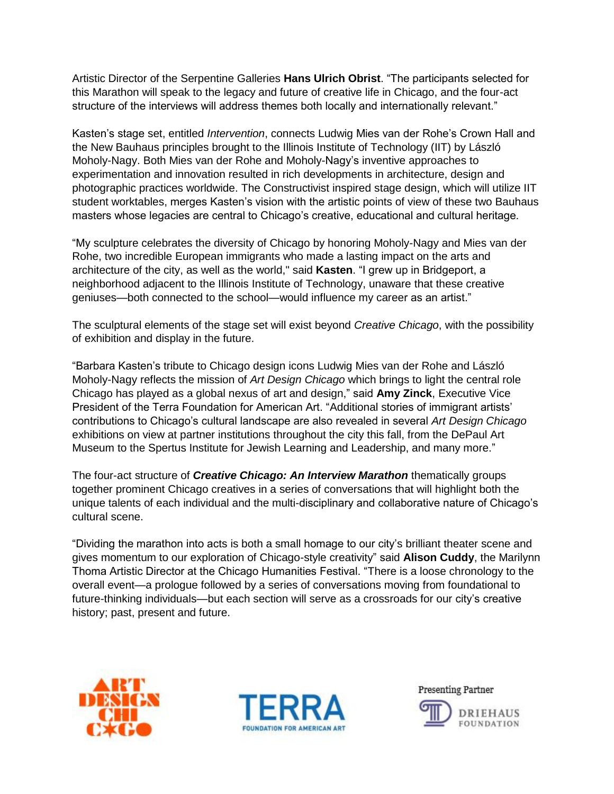Artistic Director of the Serpentine Galleries **Hans Ulrich Obrist**. "The participants selected for this Marathon will speak to the legacy and future of creative life in Chicago, and the four-act structure of the interviews will address themes both locally and internationally relevant."

Kasten's stage set, entitled *Intervention*, connects Ludwig Mies van der Rohe's Crown Hall and the New Bauhaus principles brought to the Illinois Institute of Technology (IIT) by László Moholy-Nagy. Both Mies van der Rohe and Moholy-Nagy's inventive approaches to experimentation and innovation resulted in rich developments in architecture, design and photographic practices worldwide. The Constructivist inspired stage design, which will utilize IIT student worktables, merges Kasten's vision with the artistic points of view of these two Bauhaus masters whose legacies are central to Chicago's creative, educational and cultural heritage.

"My sculpture celebrates the diversity of Chicago by honoring Moholy-Nagy and Mies van der Rohe, two incredible European immigrants who made a lasting impact on the arts and architecture of the city, as well as the world," said **Kasten**. "I grew up in Bridgeport, a neighborhood adjacent to the Illinois Institute of Technology, unaware that these creative geniuses—both connected to the school—would influence my career as an artist."

The sculptural elements of the stage set will exist beyond *Creative Chicago*, with the possibility of exhibition and display in the future.

"Barbara Kasten's tribute to Chicago design icons Ludwig Mies van der Rohe and László Moholy-Nagy reflects the mission of *Art Design Chicago* which brings to light the central role Chicago has played as a global nexus of art and design," said **Amy Zinck**, Executive Vice President of the Terra Foundation for American Art. "Additional stories of immigrant artists' contributions to Chicago's cultural landscape are also revealed in several *Art Design Chicago* exhibitions on view at partner institutions throughout the city this fall, from the DePaul Art Museum to the Spertus Institute for Jewish Learning and Leadership, and many more."

The four-act structure of *Creative Chicago: An Interview Marathon* thematically groups together prominent Chicago creatives in a series of conversations that will highlight both the unique talents of each individual and the multi-disciplinary and collaborative nature of Chicago's cultural scene.

"Dividing the marathon into acts is both a small homage to our city's brilliant theater scene and gives momentum to our exploration of Chicago-style creativity" said **Alison Cuddy**, the Marilynn Thoma Artistic Director at the Chicago Humanities Festival. "There is a loose chronology to the overall event—a prologue followed by a series of conversations moving from foundational to future-thinking individuals—but each section will serve as a crossroads for our city's creative history; past, present and future.





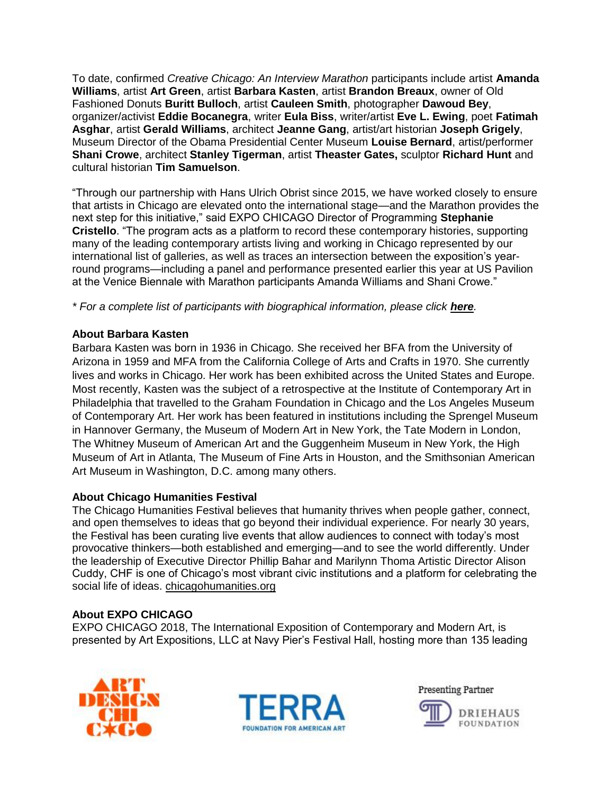To date, confirmed *Creative Chicago: An Interview Marathon* participants include artist **Amanda Williams**, artist **Art Green**, artist **Barbara Kasten**, artist **Brandon Breaux**, owner of Old Fashioned Donuts **Buritt Bulloch**, artist **Cauleen Smith**, photographer **Dawoud Bey**, organizer/activist **Eddie Bocanegra**, writer **Eula Biss**, writer/artist **Eve L. Ewing**, poet **Fatimah Asghar**, artist **Gerald Williams**, architect **Jeanne Gang**, artist/art historian **Joseph Grigely**, Museum Director of the Obama Presidential Center Museum **Louise Bernard**, artist/performer **Shani Crowe**, architect **Stanley Tigerman**, artist **Theaster Gates,** sculptor **Richard Hunt** and cultural historian **Tim Samuelson**.

"Through our partnership with Hans Ulrich Obrist since 2015, we have worked closely to ensure that artists in Chicago are elevated onto the international stage—and the Marathon provides the next step for this initiative," said EXPO CHICAGO Director of Programming **Stephanie Cristello**. "The program acts as a platform to record these contemporary histories, supporting many of the leading contemporary artists living and working in Chicago represented by our international list of galleries, as well as traces an intersection between the exposition's yearround programs—including a panel and performance presented earlier this year at US Pavilion at the Venice Biennale with Marathon participants Amanda Williams and Shani Crowe."

*\* For a complete list of participants with biographical information, please click [here](https://carolfox.box.com/s/wwymfjlzp2hgtlazcehgunwypv6w8gn7).* 

# **About Barbara Kasten**

Barbara Kasten was born in 1936 in Chicago. She received her BFA from the University of Arizona in 1959 and MFA from the California College of Arts and Crafts in 1970. She currently lives and works in Chicago. Her work has been exhibited across the United States and Europe. Most recently, Kasten was the subject of a retrospective at the Institute of Contemporary Art in Philadelphia that travelled to the Graham Foundation in Chicago and the Los Angeles Museum of Contemporary Art. Her work has been featured in institutions including the Sprengel Museum in Hannover Germany, the Museum of Modern Art in New York, the Tate Modern in London, The Whitney Museum of American Art and the Guggenheim Museum in New York, the High Museum of Art in Atlanta, The Museum of Fine Arts in Houston, and the Smithsonian American Art Museum in Washington, D.C. among many others.

# **About Chicago Humanities Festival**

The Chicago Humanities Festival believes that humanity thrives when people gather, connect, and open themselves to ideas that go beyond their individual experience. For nearly 30 years, the Festival has been curating live events that allow audiences to connect with today's most provocative thinkers—both established and emerging—and to see the world differently. Under the leadership of Executive Director Phillip Bahar and Marilynn Thoma Artistic Director Alison Cuddy, CHF is one of Chicago's most vibrant civic institutions and a platform for celebrating the social life of ideas. [chicagohumanities.org](https://chicagohumanities.org/)

# **About EXPO CHICAGO**

EXPO CHICAGO 2018, The International Exposition of Contemporary and Modern Art, is presented by Art Expositions, LLC at Navy Pier's Festival Hall, hosting more than 135 leading





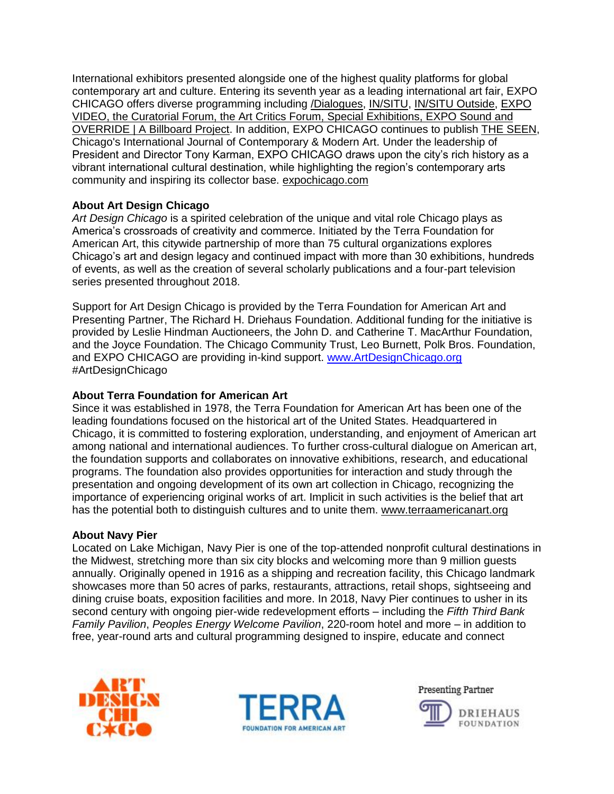International exhibitors presented alongside one of the highest quality platforms for global contemporary art and culture. Entering its seventh year as a leading international art fair, EXPO CHICAGO offers diverse programming including [/Dialogues,](https://www.expochicago.com/programs/dialogues) [IN/SITU,](https://www.expochicago.com/programs/in-situ) [IN/SITU Outside,](https://www.expochicago.com/programs/in-situ-outside) [EXPO](https://www.expochicago.com/programs/expo-video)  [VIDEO,](https://www.expochicago.com/programs/expo-video) the [Curatorial Forum,](https://www.expochicago.com/programs/curatorial-forum) the [Art Critics Forum,](https://www.expochicago.com/programs/art-critics-forum) [Special Exhibitions,](https://www.expochicago.com/exhibitors/special-exhibitions) [EXPO Sound](https://www.expochicago.com/programs/expo-sound) and [OVERRIDE | A Billboard Project.](https://www.expochicago.com/programs/override) In addition, EXPO CHICAGO continues to publish [THE SEEN,](http://theseenjournal.org/) Chicago's International Journal of Contemporary & Modern Art. Under the leadership of President and Director Tony Karman, EXPO CHICAGO draws upon the city's rich history as a vibrant international cultural destination, while highlighting the region's contemporary arts community and inspiring its collector base. [expochicago.com](http://www.expochicago.com/)

#### **About Art Design Chicago**

*Art Design Chicago* is a spirited celebration of the unique and vital role Chicago plays as America's crossroads of creativity and commerce. Initiated by the Terra Foundation for American Art, this citywide partnership of more than 75 cultural organizations explores Chicago's art and design legacy and continued impact with more than 30 exhibitions, hundreds of events, as well as the creation of several scholarly publications and a four-part television series presented throughout 2018.

Support for Art Design Chicago is provided by the Terra Foundation for American Art and Presenting Partner, The Richard H. Driehaus Foundation. Additional funding for the initiative is provided by Leslie Hindman Auctioneers, the John D. and Catherine T. MacArthur Foundation, and the Joyce Foundation. The Chicago Community Trust, Leo Burnett, Polk Bros. Foundation, and EXPO CHICAGO are providing in-kind support. [www.ArtDesignChicago.org](http://www.artdesignchicago.org/) #ArtDesignChicago

#### **About Terra Foundation for American Art**

Since it was established in 1978, the Terra Foundation for American Art has been one of the leading foundations focused on the historical art of the United States. Headquartered in Chicago, it is committed to fostering exploration, understanding, and enjoyment of American art among national and international audiences. To further cross-cultural dialogue on American art, the foundation supports and collaborates on innovative exhibitions, research, and educational programs. The foundation also provides opportunities for interaction and study through the presentation and ongoing development of its own art collection in Chicago, recognizing the importance of experiencing original works of art. Implicit in such activities is the belief that art has the potential both to distinguish cultures and to unite them. [www.terraamericanart.org](http://www.terraamericanart.org/)

#### **About Navy Pier**

Located on Lake Michigan, Navy Pier is one of the top-attended nonprofit cultural destinations in the Midwest, stretching more than six city blocks and welcoming more than 9 million guests annually. Originally opened in 1916 as a shipping and recreation facility, this Chicago landmark showcases more than 50 acres of parks, restaurants, attractions, retail shops, sightseeing and dining cruise boats, exposition facilities and more. In 2018, Navy Pier continues to usher in its second century with ongoing pier-wide redevelopment efforts – including the *Fifth Third Bank Family Pavilion*, *Peoples Energy Welcome Pavilion*, 220-room hotel and more – in addition to free, year-round arts and cultural programming designed to inspire, educate and connect